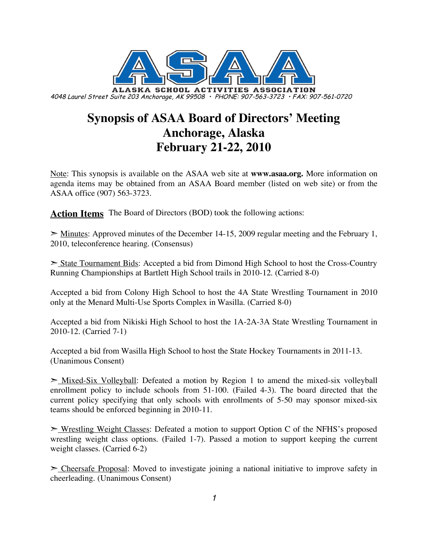

# **Synopsis of ASAA Board of Directors' Meeting Anchorage, Alaska February 21-22, 2010**

Note: This synopsis is available on the ASAA web site at **www.asaa.org.** More information on agenda items may be obtained from an ASAA Board member (listed on web site) or from the ASAA office (907) 563-3723.

**Action Items** The Board of Directors (BOD) took the following actions:

 $\geq$  Minutes: Approved minutes of the December 14-15, 2009 regular meeting and the February 1, 2010, teleconference hearing. (Consensus)

➣ State Tournament Bids: Accepted a bid from Dimond High School to host the Cross-Country Running Championships at Bartlett High School trails in 2010-12. (Carried 8-0)

Accepted a bid from Colony High School to host the 4A State Wrestling Tournament in 2010 only at the Menard Multi-Use Sports Complex in Wasilla. (Carried 8-0)

Accepted a bid from Nikiski High School to host the 1A-2A-3A State Wrestling Tournament in 2010-12. (Carried 7-1)

Accepted a bid from Wasilla High School to host the State Hockey Tournaments in 2011-13. (Unanimous Consent)

 $\geq$  Mixed-Six Volleyball: Defeated a motion by Region 1 to amend the mixed-six volleyball enrollment policy to include schools from 51-100. (Failed 4-3). The board directed that the current policy specifying that only schools with enrollments of 5-50 may sponsor mixed-six teams should be enforced beginning in 2010-11.

► Wrestling Weight Classes: Defeated a motion to support Option C of the NFHS's proposed wrestling weight class options. (Failed 1-7). Passed a motion to support keeping the current weight classes. (Carried 6-2)

► Cheersafe Proposal: Moved to investigate joining a national initiative to improve safety in cheerleading. (Unanimous Consent)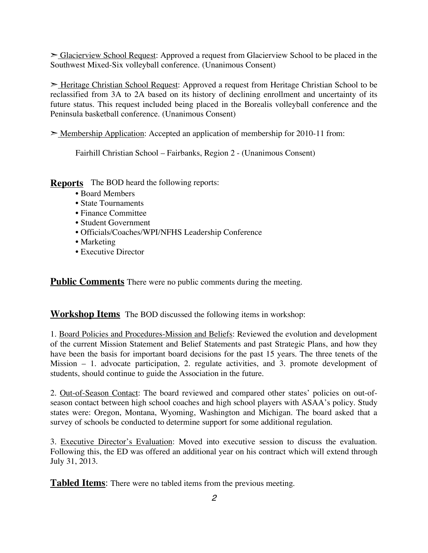➣ Glacierview School Request: Approved a request from Glacierview School to be placed in the Southwest Mixed-Six volleyball conference. (Unanimous Consent)

➣ Heritage Christian School Request: Approved a request from Heritage Christian School to be reclassified from 3A to 2A based on its history of declining enrollment and uncertainty of its future status. This request included being placed in the Borealis volleyball conference and the Peninsula basketball conference. (Unanimous Consent)

➣ Membership Application: Accepted an application of membership for 2010-11 from:

Fairhill Christian School – Fairbanks, Region 2 - (Unanimous Consent)

**Reports** The BOD heard the following reports:

- Board Members
- State Tournaments
- Finance Committee
- Student Government
- Officials/Coaches/WPI/NFHS Leadership Conference
- Marketing
- Executive Director

**Public Comments** There were no public comments during the meeting.

**Workshop Items** The BOD discussed the following items in workshop:

1. Board Policies and Procedures-Mission and Beliefs: Reviewed the evolution and development of the current Mission Statement and Belief Statements and past Strategic Plans, and how they have been the basis for important board decisions for the past 15 years. The three tenets of the Mission – 1. advocate participation, 2. regulate activities, and 3. promote development of students, should continue to guide the Association in the future.

2. Out-of-Season Contact: The board reviewed and compared other states' policies on out-ofseason contact between high school coaches and high school players with ASAA's policy. Study states were: Oregon, Montana, Wyoming, Washington and Michigan. The board asked that a survey of schools be conducted to determine support for some additional regulation.

3. Executive Director's Evaluation: Moved into executive session to discuss the evaluation. Following this, the ED was offered an additional year on his contract which will extend through July 31, 2013.

**Tabled Items**: There were no tabled items from the previous meeting.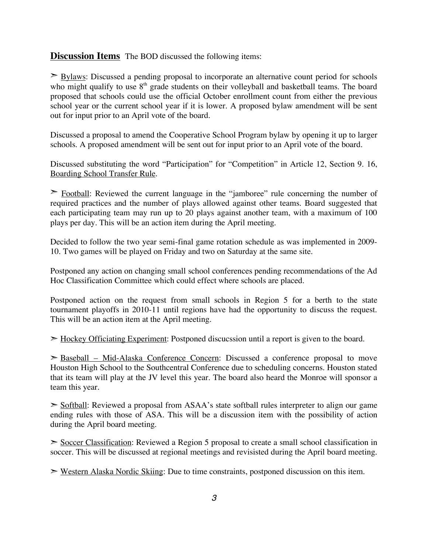#### **Discussion Items** The BOD discussed the following items:

 $\geq$  Bylaws: Discussed a pending proposal to incorporate an alternative count period for schools who might qualify to use  $8<sup>th</sup>$  grade students on their volleyball and basketball teams. The board proposed that schools could use the official October enrollment count from either the previous school year or the current school year if it is lower. A proposed bylaw amendment will be sent out for input prior to an April vote of the board.

Discussed a proposal to amend the Cooperative School Program bylaw by opening it up to larger schools. A proposed amendment will be sent out for input prior to an April vote of the board.

Discussed substituting the word "Participation" for "Competition" in Article 12, Section 9. 16, Boarding School Transfer Rule.

➣ Football: Reviewed the current language in the "jamboree" rule concerning the number of required practices and the number of plays allowed against other teams. Board suggested that each participating team may run up to 20 plays against another team, with a maximum of 100 plays per day. This will be an action item during the April meeting.

Decided to follow the two year semi-final game rotation schedule as was implemented in 2009- 10. Two games will be played on Friday and two on Saturday at the same site.

Postponed any action on changing small school conferences pending recommendations of the Ad Hoc Classification Committee which could effect where schools are placed.

Postponed action on the request from small schools in Region 5 for a berth to the state tournament playoffs in 2010-11 until regions have had the opportunity to discuss the request. This will be an action item at the April meeting.

 $\geq$  Hockey Officiating Experiment: Postponed discucssion until a report is given to the board.

➣ Baseball – Mid-Alaska Conference Concern: Discussed a conference proposal to move Houston High School to the Southcentral Conference due to scheduling concerns. Houston stated that its team will play at the JV level this year. The board also heard the Monroe will sponsor a team this year.

 $\geq$  Softball: Reviewed a proposal from ASAA's state softball rules interpreter to align our game ending rules with those of ASA. This will be a discussion item with the possibility of action during the April board meeting.

➣ Soccer Classification: Reviewed a Region 5 proposal to create a small school classification in soccer. This will be discussed at regional meetings and revisisted during the April board meeting.

➣ Western Alaska Nordic Skiing: Due to time constraints, postponed discussion on this item.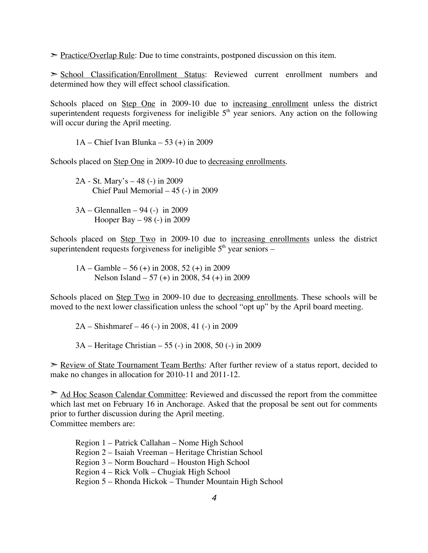$\geq$  Practice/Overlap Rule: Due to time constraints, postponed discussion on this item.

➣ School Classification/Enrollment Status: Reviewed current enrollment numbers and determined how they will effect school classification.

Schools placed on Step One in 2009-10 due to increasing enrollment unless the district superintendent requests forgiveness for ineligible  $5<sup>th</sup>$  year seniors. Any action on the following will occur during the April meeting.

1A – Chief Ivan Blunka – 53 (+) in 2009

Schools placed on Step One in 2009-10 due to decreasing enrollments.

2A - St. Mary's – 48 (-) in 2009 Chief Paul Memorial – 45 (-) in 2009

3A – Glennallen – 94 (-) in 2009 Hooper Bay – 98 (-) in 2009

Schools placed on Step Two in 2009-10 due to increasing enrollments unless the district superintendent requests forgiveness for ineligible  $5<sup>th</sup>$  year seniors –

1A – Gamble – 56 (+) in 2008, 52 (+) in 2009 Nelson Island – 57 (+) in 2008, 54 (+) in 2009

Schools placed on <u>Step Two</u> in 2009-10 due to decreasing enrollments. These schools will be moved to the next lower classification unless the school "opt up" by the April board meeting.

2A – Shishmaref – 46 (-) in 2008, 41 (-) in 2009

3A – Heritage Christian – 55 (-) in 2008, 50 (-) in 2009

► Review of State Tournament Team Berths: After further review of a status report, decided to make no changes in allocation for 2010-11 and 2011-12.

► Ad Hoc Season Calendar Committee: Reviewed and discussed the report from the committee which last met on February 16 in Anchorage. Asked that the proposal be sent out for comments prior to further discussion during the April meeting. Committee members are:

Region 1 – Patrick Callahan – Nome High School Region 2 – Isaiah Vreeman – Heritage Christian School Region 3 – Norm Bouchard – Houston High School Region 4 – Rick Volk – Chugiak High School Region 5 – Rhonda Hickok – Thunder Mountain High School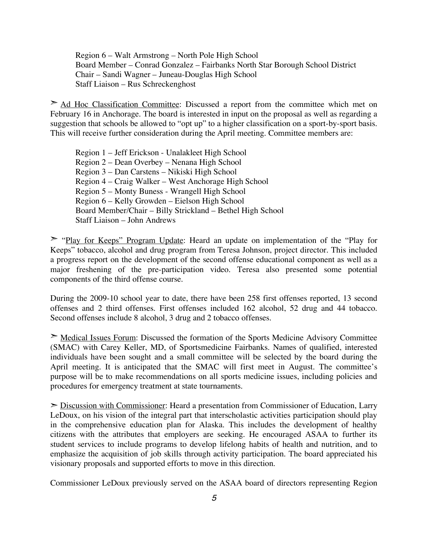Region 6 – Walt Armstrong – North Pole High School Board Member – Conrad Gonzalez – Fairbanks North Star Borough School District Chair – Sandi Wagner – Juneau-Douglas High School Staff Liaison – Rus Schreckenghost

 $\geq$  Ad Hoc Classification Committee: Discussed a report from the committee which met on February 16 in Anchorage. The board is interested in input on the proposal as well as regarding a suggestion that schools be allowed to "opt up" to a higher classification on a sport-by-sport basis. This will receive further consideration during the April meeting. Committee members are:

Region 1 – Jeff Erickson - Unalakleet High School Region 2 – Dean Overbey – Nenana High School Region 3 – Dan Carstens – Nikiski High School Region 4 – Craig Walker – West Anchorage High School Region 5 – Monty Buness - Wrangell High School Region 6 – Kelly Growden – Eielson High School Board Member/Chair – Billy Strickland – Bethel High School Staff Liaison – John Andrews

➣ "Play for Keeps" Program Update: Heard an update on implementation of the "Play for Keeps" tobacco, alcohol and drug program from Teresa Johnson, project director. This included a progress report on the development of the second offense educational component as well as a major freshening of the pre-participation video. Teresa also presented some potential components of the third offense course.

During the 2009-10 school year to date, there have been 258 first offenses reported, 13 second offenses and 2 third offenses. First offenses included 162 alcohol, 52 drug and 44 tobacco. Second offenses include 8 alcohol, 3 drug and 2 tobacco offenses.

➣ Medical Issues Forum: Discussed the formation of the Sports Medicine Advisory Committee (SMAC) with Carey Keller, MD, of Sportsmedicine Fairbanks. Names of qualified, interested individuals have been sought and a small committee will be selected by the board during the April meeting. It is anticipated that the SMAC will first meet in August. The committee's purpose will be to make recommendations on all sports medicine issues, including policies and procedures for emergency treatment at state tournaments.

➣ Discussion with Commissioner: Heard a presentation from Commissioner of Education, Larry LeDoux, on his vision of the integral part that interscholastic activities participation should play in the comprehensive education plan for Alaska. This includes the development of healthy citizens with the attributes that employers are seeking. He encouraged ASAA to further its student services to include programs to develop lifelong habits of health and nutrition, and to emphasize the acquisition of job skills through activity participation. The board appreciated his visionary proposals and supported efforts to move in this direction.

Commissioner LeDoux previously served on the ASAA board of directors representing Region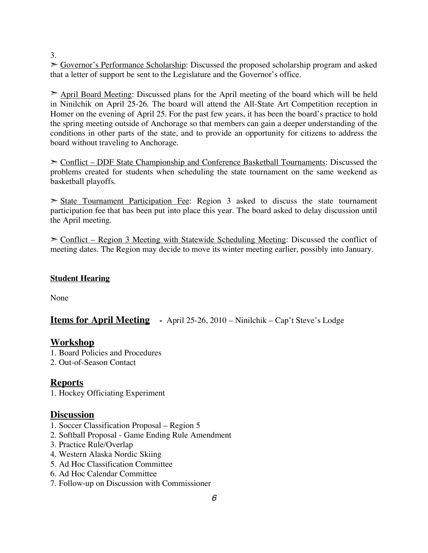3.

➣ Governor's Performance Scholarship: Discussed the proposed scholarship program and asked that a letter of support be sent to the Legislature and the Governor's office.

➣ April Board Meeting: Discussed plans for the April meeting of the board which will be held in Ninilchik on April 25-26. The board will attend the All-State Art Competition reception in Homer on the evening of April 25. For the past few years, it has been the board's practice to hold the spring meeting outside of Anchorage so that members can gain a deeper understanding of the conditions in other parts of the state, and to provide an opportunity for citizens to address the board without traveling to Anchorage.

➣ Conflict – DDF State Championship and Conference Basketball Tournaments: Discussed the problems created for students when scheduling the state tournament on the same weekend as basketball playoffs.

 $\geq$  State Tournament Participation Fee: Region 3 asked to discuss the state tournament participation fee that has been put into place this year. The board asked to delay discussion until the April meeting.

 $\geq$  Conflict – Region 3 Meeting with Statewide Scheduling Meeting: Discussed the conflict of meeting dates. The Region may decide to move its winter meeting earlier, possibly into January.

#### **Student Hearing**

None

**Items for April Meeting -** April 25-26, 2010 – Ninilchik – Cap't Steve's Lodge

## **Workshop**

- 1. Board Policies and Procedures
- 2. Out-of-Season Contact

## **Reports**

1. Hockey Officiating Experiment

#### **Discussion**

- 1. Soccer Classification Proposal Region 5
- 2. Softball Proposal Game Ending Rule Amendment
- 3. Practice Rule/Overlap
- 4. Western Alaska Nordic Skiing
- 5. Ad Hoc Classification Committee
- 6. Ad Hoc Calendar Committee
- 7. Follow-up on Discussion with Commissioner